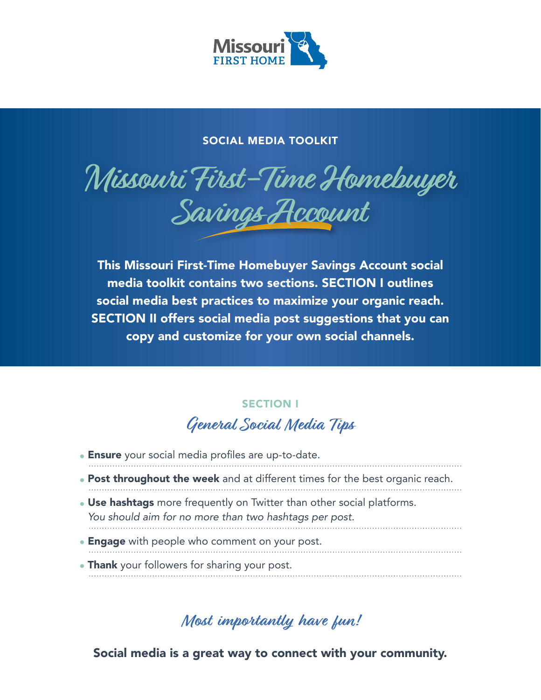

#### SOCIAL MEDIA TOOLKIT



This Missouri First-Time Homebuyer Savings Account social media toolkit contains two sections. SECTION I outlines social media best practices to maximize your organic reach. SECTION II offers social media post suggestions that you can copy and customize for your own social channels.

#### SECTION I

**General Social Media Tips**

| • Ensure your social media profiles are up-to-date.                                                                              |
|----------------------------------------------------------------------------------------------------------------------------------|
| . Post throughout the week and at different times for the best organic reach.                                                    |
| • Use hashtags more frequently on Twitter than other social platforms.<br>You should aim for no more than two hashtags per post. |
| • Engage with people who comment on your post.                                                                                   |
| • Thank your followers for sharing your post.                                                                                    |
|                                                                                                                                  |

## **Most importantly have fun!**

Social media is a great way to connect with your community.